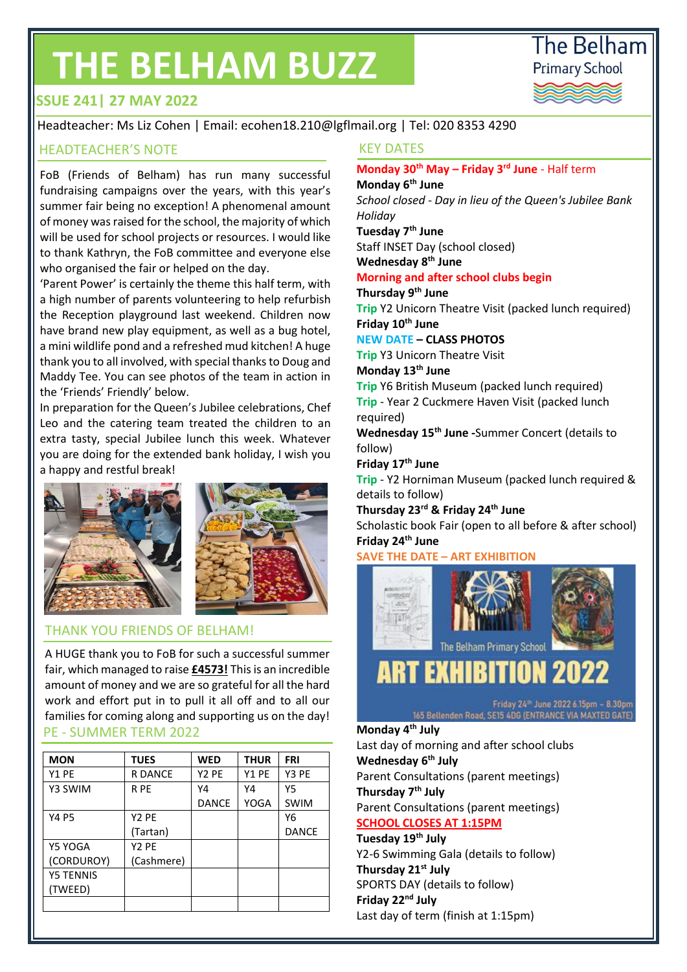# **THE BELHAM BUZZ**



## **ISSUE 241| 27 MAY 2022**

Headteacher: Ms Liz Cohen | Email: ecohen18.210@lgflmail.org | Tel: 020 8353 4290

#### HEADTEACHER'S NOTE THE RESERVE THE RESERVE THE RESERVE THE RESERVE THE RESERVE THE RESERVE THE RESERVE THE RES

FoB (Friends of Belham) has run many successful fundraising campaigns over the years, with this year's summer fair being no exception! A phenomenal amount of money was raised for the school, the majority of which will be used for school projects or resources. I would like to thank Kathryn, the FoB committee and everyone else who organised the fair or helped on the day.

'Parent Power' is certainly the theme this half term, with a high number of parents volunteering to help refurbish the Reception playground last weekend. Children now have brand new play equipment, as well as a bug hotel, a mini wildlife pond and a refreshed mud kitchen! A huge thank you to all involved, with special thanks to Doug and Maddy Tee. You can see photos of the team in action in the 'Friends' Friendly' below.

In preparation for the Queen's Jubilee celebrations, Chef Leo and the catering team treated the children to an extra tasty, special Jubilee lunch this week. Whatever you are doing for the extended bank holiday, I wish you a happy and restful break!



### THANK YOU FRIENDS OF BELHAM!

A HUGE thank you to FoB for such a successful summer fair, which managed to raise **£4573!** This is an incredible amount of money and we are so grateful for all the hard work and effort put in to pull it all off and to all our families for coming along and supporting us on the day! PE - SUMMER TERM 2022

| <b>MON</b>       | <b>TUES</b>       | <b>WED</b>        | <b>THUR</b> | <b>FRI</b>   |
|------------------|-------------------|-------------------|-------------|--------------|
| Y1 PE            | <b>R DANCE</b>    | Y <sub>2</sub> PE | Y1 PE       | Y3 PE        |
| Y3 SWIM          | R PE              | Y4                | Y4          | Υ5           |
|                  |                   | <b>DANCE</b>      | YOGA        | <b>SWIM</b>  |
| <b>Y4 P5</b>     | Y <sub>2</sub> PE |                   |             | Υ6           |
|                  | (Tartan)          |                   |             | <b>DANCE</b> |
| Y5 YOGA          | Y <sub>2</sub> PE |                   |             |              |
| (CORDUROY)       | (Cashmere)        |                   |             |              |
| <b>Y5 TENNIS</b> |                   |                   |             |              |
| (TWEED)          |                   |                   |             |              |
|                  |                   |                   |             |              |

**Monday 30th May – Friday 3rd June** - Half term **Monday 6th June** 

*School closed - Day in lieu of the Queen's Jubilee Bank Holiday*

### **Tuesday 7th June**

Staff INSET Day (school closed)

# **Wednesday 8th June**

**Morning and after school clubs begin**

**Thursday 9th June**

**Trip** Y2 Unicorn Theatre Visit (packed lunch required) **Friday 10th June**

#### **NEW DATE – CLASS PHOTOS**

**Trip** Y3 Unicorn Theatre Visit

#### **Monday 13th June**

**Trip** Y6 British Museum (packed lunch required) **Trip** - Year 2 Cuckmere Haven Visit (packed lunch required)

**Wednesday 15th June -**Summer Concert (details to follow)

#### **Friday 17th June**

**Trip** - Y2 Horniman Museum (packed lunch required & details to follow)

**Thursday 23rd & Friday 24th June** 

Scholastic book Fair (open to all before & after school) **Friday 24th June**

#### **SAVE THE DATE – ART EXHIBITION**



Friday 24<sup>th</sup> June 2022 6.15pm - 8.30pm 165 Bellenden Road, SE15 4DG (ENTRANCE VIA MAXTED GATE)

# **Monday 4th July**

Last day of morning and after school clubs **Wednesday 6th July** Parent Consultations (parent meetings) **Thursday 7th July**  Parent Consultations (parent meetings) **SCHOOL CLOSES AT 1:15PM Tuesday 19th July** Y2-6 Swimming Gala (details to follow) **Thursday 21st July** SPORTS DAY (details to follow) **Friday 22nd July** Last day of term (finish at 1:15pm)